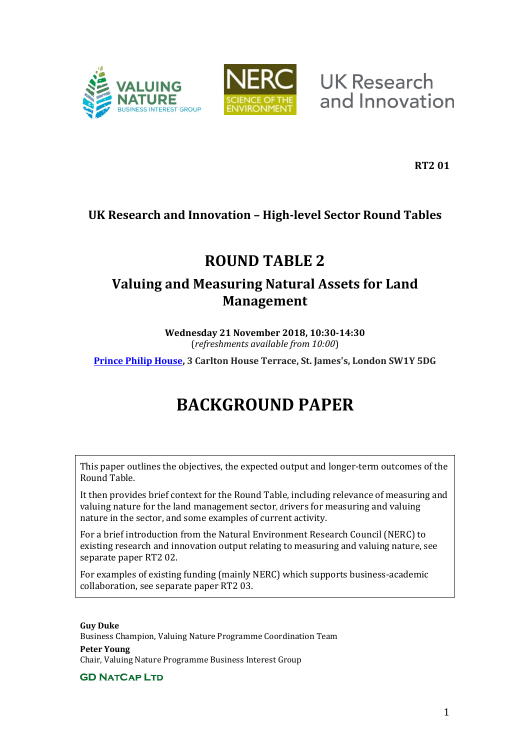



**UK Research** and Innovation

**RT2 01**

# **UK Research and Innovation – High-level Sector Round Tables**

# **ROUND TABLE 2**

# **Valuing and Measuring Natural Assets for Land Management**

**Wednesday 21 November 2018, 10:30-14:30** (*refreshments available from 10:00*)

**[Prince Philip House,](http://www.princephiliphouse.com/) 3 Carlton House Terrace, St. James's, London SW1Y 5DG**

# **BACKGROUND PAPER**

This paper outlines the objectives, the expected output and longer-term outcomes of the Round Table.

It then provides brief context for the Round Table, including relevance of measuring and valuing nature for the land management sector, drivers for measuring and valuing nature in the sector, and some examples of current activity.

For a brief introduction from the Natural Environment Research Council (NERC) to existing research and innovation output relating to measuring and valuing nature, see separate paper RT2 02.

For examples of existing funding (mainly NERC) which supports business-academic collaboration, see separate paper RT2 03.

**Guy Duke** Business Champion, Valuing Nature Programme Coordination Team **Peter Young** Chair, Valuing Nature Programme Business Interest Group

**GD NATCAP LTD**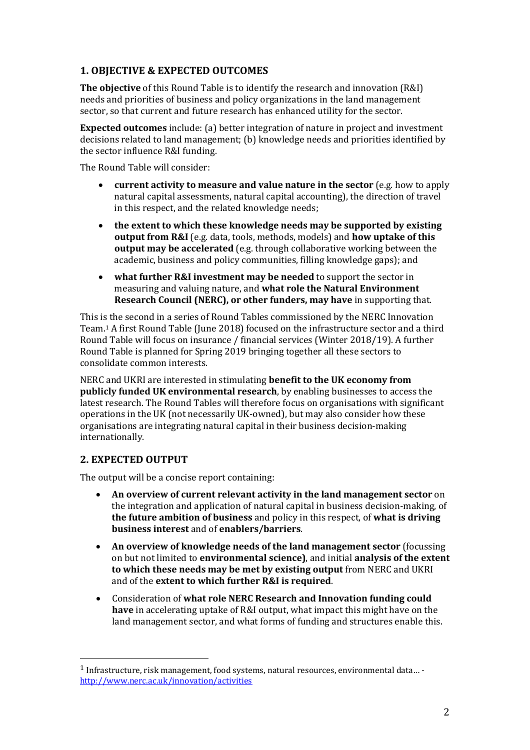# **1. OBJECTIVE & EXPECTED OUTCOMES**

**The objective** of this Round Table is to identify the research and innovation (R&I) needs and priorities of business and policy organizations in the land management sector, so that current and future research has enhanced utility for the sector.

**Expected outcomes** include: (a) better integration of nature in project and investment decisions related to land management; (b) knowledge needs and priorities identified by the sector influence R&I funding.

The Round Table will consider:

- **current activity to measure and value nature in the sector** (e.g. how to apply natural capital assessments, natural capital accounting), the direction of travel in this respect, and the related knowledge needs;
- **the extent to which these knowledge needs may be supported by existing output from R&I** (e.g. data, tools, methods, models) and **how uptake of this output may be accelerated** (e.g. through collaborative working between the academic, business and policy communities, filling knowledge gaps); and
- **what further R&I investment may be needed** to support the sector in measuring and valuing nature, and **what role the Natural Environment Research Council (NERC), or other funders, may have** in supporting that.

This is the second in a series of Round Tables commissioned by the NERC Innovation Team.1 A first Round Table (June 2018) focused on the infrastructure sector and a third Round Table will focus on insurance / financial services (Winter 2018/19). A further Round Table is planned for Spring 2019 bringing together all these sectors to consolidate common interests.

NERC and UKRI are interested in stimulating **benefit to the UK economy from publicly funded UK environmental research**, by enabling businesses to access the latest research. The Round Tables will therefore focus on organisations with significant operations in the UK (not necessarily UK-owned), but may also consider how these organisations are integrating natural capital in their business decision-making internationally.

## **2. EXPECTED OUTPUT**

The output will be a concise report containing:

- **An overview of current relevant activity in the land management sector** on the integration and application of natural capital in business decision-making, of **the future ambition of business** and policy in this respect, of **what is driving business interest** and of **enablers/barriers**.
- **An overview of knowledge needs of the land management sector** (focussing on but not limited to **environmental science)**, and initial **analysis of the extent to which these needs may be met by existing output** from NERC and UKRI and of the **extent to which further R&I is required**.
- Consideration of **what role NERC Research and Innovation funding could have** in accelerating uptake of R&I output, what impact this might have on the land management sector, and what forms of funding and structures enable this.

 <sup>1</sup> Infrastructure, risk management, food systems, natural resources, environmental data… <http://www.nerc.ac.uk/innovation/activities>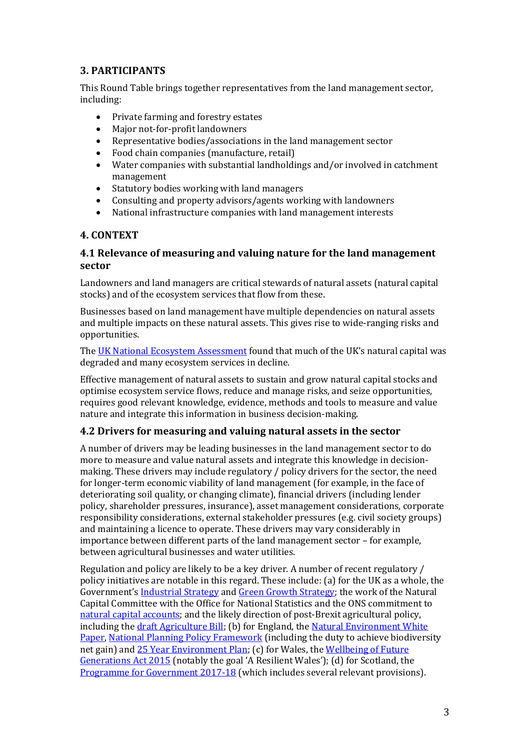# **3. PARTICIPANTS**

This Round Table brings together representatives from the land management sector, including:

- Private farming and forestry estates<br>• Maior not-for-profit landowners
- Major not-for-profit landowners<br>• Representative bodies/association
- Representative bodies/associations in the land management sector<br>• Food chain companies (manufacture retail)
- Food chain companies (manufacture, retail)<br>• Water companies with substantial landholdi
- Water companies with substantial landholdings and/or involved in catchment management
- Statutory bodies working with land managers
- Consulting and property advisors/agents working with landowners
- National infrastructure companies with land management interests

# **4. CONTEXT**

# **4.1 Relevance of measuring and valuing nature for the land management sector**

Landowners and land managers are critical stewards of natural assets (natural capital stocks) and of the ecosystem services that flow from these.

Businesses based on land management have multiple dependencies on natural assets and multiple impacts on these natural assets. This gives rise to wide-ranging risks and opportunities.

The [UK National Ecosystem Assessment](http://uknea.unep-wcmc.org/Resources/tabid/82/Default.aspx) found that much of the UK's natural capital was degraded and many ecosystem services in decline.

Effective management of natural assets to sustain and grow natural capital stocks and optimise ecosystem service flows, reduce and manage risks, and seize opportunities, requires good relevant knowledge, evidence, methods and tools to measure and value nature and integrate this information in business decision-making.

## **4.2 Drivers for measuring and valuing natural assets in the sector**

A number of drivers may be leading businesses in the land management sector to do more to measure and value natural assets and integrate this knowledge in decisionmaking. These drivers may include regulatory / policy drivers for the sector, the need for longer-term economic viability of land management (for example, in the face of deteriorating soil quality, or changing climate), financial drivers (including lender policy, shareholder pressures, insurance), asset management considerations, corporate responsibility considerations, external stakeholder pressures (e.g. civil society groups) and maintaining a licence to operate. These drivers may vary considerably in importance between different parts of the land management sector – for example, between agricultural businesses and water utilities.

Regulation and policy are likely to be a key driver. A number of recent regulatory / policy initiatives are notable in this regard. These include: (a) for the UK as a whole, the Government's [Industrial Strategy](https://www.gov.uk/government/publications/industrial-strategy-building-a-britain-fit-for-the-future) and [Green Growth Strategy;](https://www.gov.uk/government/publications/clean-growth-strategy) the work of the Natural Capital Committee with the Office for National Statistics and the ONS commitment to [natural capital accounts;](https://www.ons.gov.uk/economy/nationalaccounts/uksectoraccounts/methodologies/naturalcapital) and the likely direction of post-Brexit agricultural policy, including th[e draft Agriculture Bill;](https://services.parliament.uk/bills/2017-19/agriculture.html) (b) for England, the [Natural Environment White](https://assets.publishing.service.gov.uk/government/uploads/system/uploads/attachment_data/file/228842/8082.pdf)  [Paper,](https://assets.publishing.service.gov.uk/government/uploads/system/uploads/attachment_data/file/228842/8082.pdf) [National Planning Policy Framework](https://www.gov.uk/government/publications/national-planning-policy-framework--2) (including the duty to achieve biodiversity net gain) and [25 Year Environment Plan;](https://www.gov.uk/government/publications/25-year-environment-plan) (c) for Wales, the [Wellbeing of Future](https://gov.wales/topics/people-and-communities/people/future-generations-act/?skip=1&lang=en)  [Generations Act 2015](https://gov.wales/topics/people-and-communities/people/future-generations-act/?skip=1&lang=en) (notably the goal 'A Resilient Wales'); (d) for Scotland, the [Programme for Government 2017-18](http://www.gov.scot/Publications/2017/09/8468) (which includes several relevant provisions).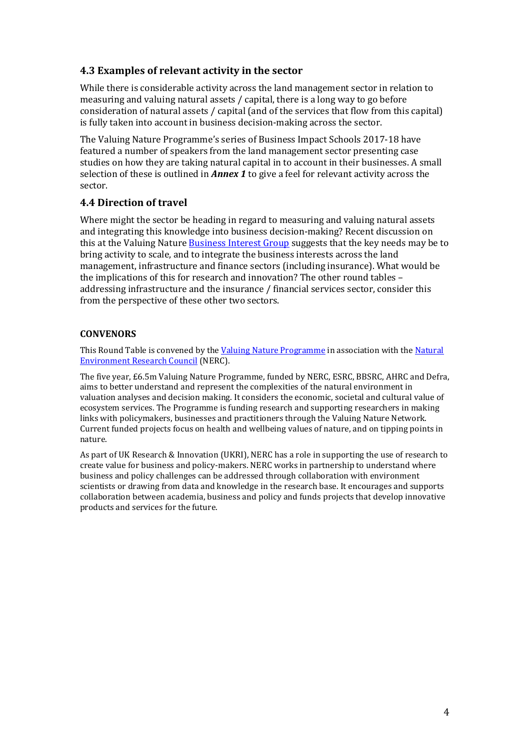# **4.3 Examples of relevant activity in the sector**

While there is considerable activity across the land management sector in relation to measuring and valuing natural assets / capital, there is a long way to go before consideration of natural assets / capital (and of the services that flow from this capital) is fully taken into account in business decision-making across the sector.

The Valuing Nature Programme's series of Business Impact Schools 2017-18 have featured a number of speakers from the land management sector presenting case studies on how they are taking natural capital in to account in their businesses. A small selection of these is outlined in *Annex 1* to give a feel for relevant activity across the sector.

## **4.4 Direction of travel**

Where might the sector be heading in regard to measuring and valuing natural assets and integrating this knowledge into business decision-making? Recent discussion on this at the Valuing Nature [Business Interest Group](http://valuing-nature.net/business-interest-group) suggests that the key needs may be to bring activity to scale, and to integrate the business interests across the land management, infrastructure and finance sectors (including insurance). What would be the implications of this for research and innovation? The other round tables – addressing infrastructure and the insurance / financial services sector, consider this from the perspective of these other two sectors.

#### **CONVENORS**

This Round Table is convened by th[e Valuing Nature Programme](http://valuing-nature.net/) in association with the Natural [Environment Research Council](https://nerc.ukri.org/) (NERC).

The five year, £6.5m Valuing Nature Programme, funded by NERC, ESRC, BBSRC, AHRC and Defra, aims to better understand and represent the complexities of the natural environment in valuation analyses and decision making. It considers the economic, societal and cultural value of ecosystem services. The Programme is funding research and supporting researchers in making links with policymakers, businesses and practitioners through the Valuing Nature Network. Current funded projects focus on health and wellbeing values of nature, and on tipping points in nature.

As part of UK Research & Innovation (UKRI), NERC has a role in supporting the use of research to create value for business and policy-makers. NERC works in partnership to understand where business and policy challenges can be addressed through collaboration with environment scientists or drawing from data and knowledge in the research base. It encourages and supports collaboration between academia, business and policy and funds projects that develop innovative products and services for the future.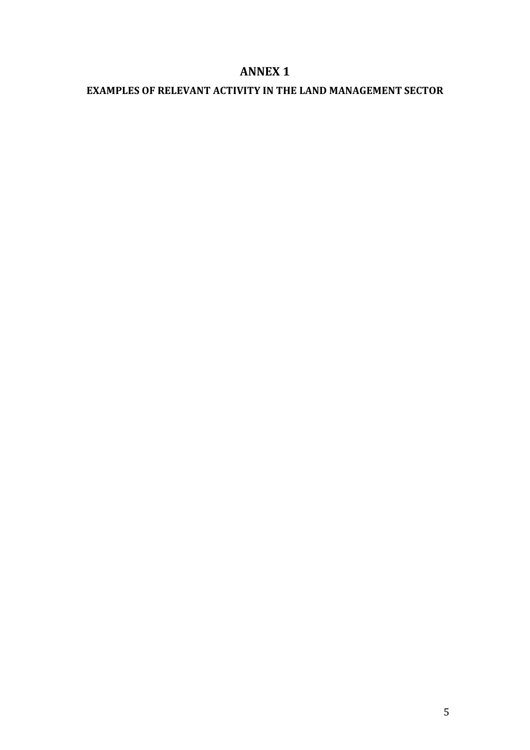# **ANNEX 1**

# **EXAMPLES OF RELEVANT ACTIVITY IN THE LAND MANAGEMENT SECTOR**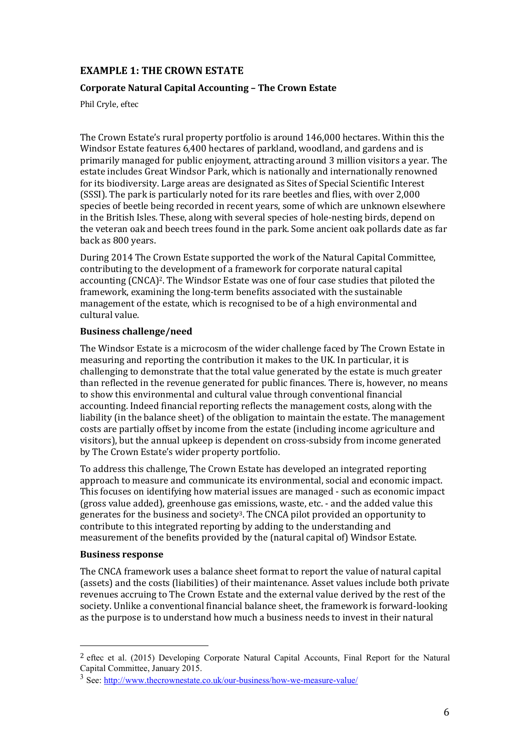# **EXAMPLE 1: THE CROWN ESTATE**

#### **Corporate Natural Capital Accounting – The Crown Estate**

Phil Cryle, eftec

The Crown Estate's rural property portfolio is around 146,000 hectares. Within this the Windsor Estate features 6,400 hectares of parkland, woodland, and gardens and is primarily managed for public enjoyment, attracting around 3 million visitors a year. The estate includes Great Windsor Park, which is nationally and internationally renowned for its biodiversity. Large areas are designated as Sites of Special Scientific Interest (SSSI). The park is particularly noted for its rare beetles and flies, with over 2,000 species of beetle being recorded in recent years, some of which are unknown elsewhere in the British Isles. These, along with several species of hole-nesting birds, depend on the veteran oak and beech trees found in the park. Some ancient oak pollards date as far back as 800 years.

During 2014 The Crown Estate supported the work of the Natural Capital Committee, contributing to the development of a framework for corporate natural capital accounting (CNCA)2. The Windsor Estate was one of four case studies that piloted the framework, examining the long-term benefits associated with the sustainable management of the estate, which is recognised to be of a high environmental and cultural value.

#### **Business challenge/need**

The Windsor Estate is a microcosm of the wider challenge faced by The Crown Estate in measuring and reporting the contribution it makes to the UK. In particular, it is challenging to demonstrate that the total value generated by the estate is much greater than reflected in the revenue generated for public finances. There is, however, no means to show this environmental and cultural value through conventional financial accounting. Indeed financial reporting reflects the management costs, along with the liability (in the balance sheet) of the obligation to maintain the estate. The management costs are partially offset by income from the estate (including income agriculture and visitors), but the annual upkeep is dependent on cross-subsidy from income generated by The Crown Estate's wider property portfolio.

To address this challenge, The Crown Estate has developed an integrated reporting approach to measure and communicate its environmental, social and economic impact. This focuses on identifying how material issues are managed - such as economic impact (gross value added), greenhouse gas emissions, waste, etc. - and the added value this generates for the business and society3. The CNCA pilot provided an opportunity to contribute to this integrated reporting by adding to the understanding and measurement of the benefits provided by the (natural capital of) Windsor Estate.

#### **Business response**

The CNCA framework uses a balance sheet format to report the value of natural capital (assets) and the costs (liabilities) of their maintenance. Asset values include both private revenues accruing to The Crown Estate and the external value derived by the rest of the society. Unlike a conventional financial balance sheet, the framework is forward-looking as the purpose is to understand how much a business needs to invest in their natural

 <sup>2</sup> eftec et al. (2015) Developing Corporate Natural Capital Accounts, Final Report for the Natural Capital Committee, January 2015.

<sup>3</sup> See[: http://www.thecrownestate.co.uk/our-business/how-we-measure-value/](http://www.thecrownestate.co.uk/our-business/how-we-measure-value/)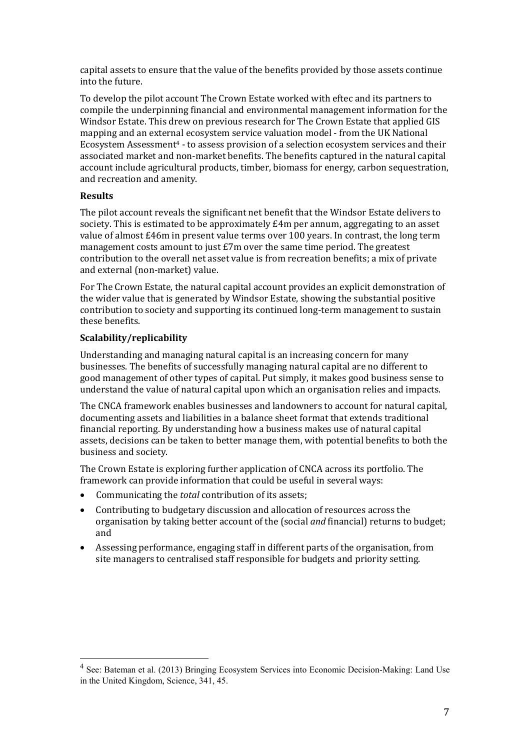capital assets to ensure that the value of the benefits provided by those assets continue into the future.

To develop the pilot account The Crown Estate worked with eftec and its partners to compile the underpinning financial and environmental management information for the Windsor Estate. This drew on previous research for The Crown Estate that applied GIS mapping and an external ecosystem service valuation model - from the UK National Ecosystem Assessment4 - to assess provision of a selection ecosystem services and their associated market and non-market benefits. The benefits captured in the natural capital account include agricultural products, timber, biomass for energy, carbon sequestration, and recreation and amenity.

#### **Results**

The pilot account reveals the significant net benefit that the Windsor Estate delivers to society. This is estimated to be approximately £4m per annum, aggregating to an asset value of almost £46m in present value terms over 100 years. In contrast, the long term management costs amount to just £7m over the same time period. The greatest contribution to the overall net asset value is from recreation benefits; a mix of private and external (non-market) value.

For The Crown Estate, the natural capital account provides an explicit demonstration of the wider value that is generated by Windsor Estate, showing the substantial positive contribution to society and supporting its continued long-term management to sustain these benefits.

#### **Scalability/replicability**

Understanding and managing natural capital is an increasing concern for many businesses. The benefits of successfully managing natural capital are no different to good management of other types of capital. Put simply, it makes good business sense to understand the value of natural capital upon which an organisation relies and impacts.

The CNCA framework enables businesses and landowners to account for natural capital, documenting assets and liabilities in a balance sheet format that extends traditional financial reporting. By understanding how a business makes use of natural capital assets, decisions can be taken to better manage them, with potential benefits to both the business and society.

The Crown Estate is exploring further application of CNCA across its portfolio. The framework can provide information that could be useful in several ways:

- Communicating the *total* contribution of its assets;
- Contributing to budgetary discussion and allocation of resources across the organisation by taking better account of the (social *and* financial) returns to budget; and
- Assessing performance, engaging staff in different parts of the organisation, from site managers to centralised staff responsible for budgets and priority setting.

<sup>4</sup> See: Bateman et al. (2013) Bringing Ecosystem Services into Economic Decision-Making: Land Use in the United Kingdom, Science, 341, 45.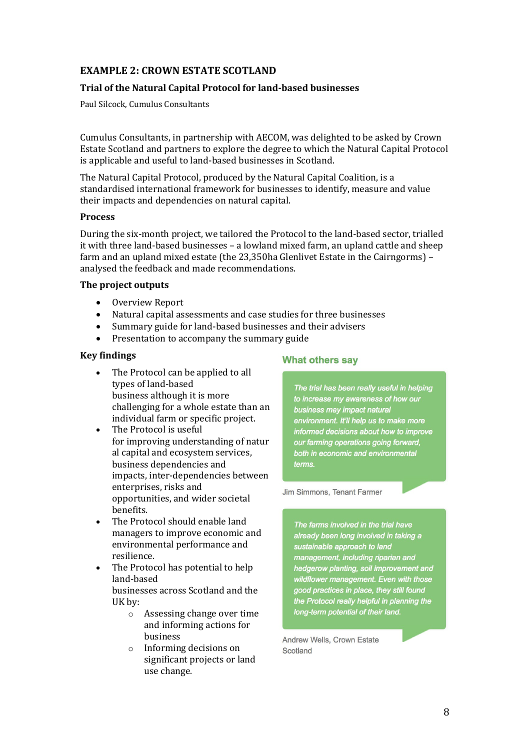# **EXAMPLE 2: CROWN ESTATE SCOTLAND**

## **Trial of the Natural Capital Protocol for land-based businesses**

Paul Silcock, Cumulus Consultants

Cumulus Consultants, in partnership with AECOM, was delighted to be asked by Crown Estate Scotland and partners to explore the degree to which the Natural Capital Protocol is applicable and useful to land-based businesses in Scotland.

The Natural Capital Protocol, produced by the Natural Capital Coalition, is a standardised international framework for businesses to identify, measure and value their impacts and dependencies on natural capital.

#### **Process**

During the six-month project, we tailored the Protocol to the land-based sector, trialled it with three land-based businesses – a lowland mixed farm, an upland cattle and sheep farm and an upland mixed estate (the 23,350ha Glenlivet Estate in the Cairngorms) – analysed the feedback and made recommendations.

#### **The project outputs**

- Overview Report
- Natural capital assessments and case studies for three businesses<br>• Summary guide for land-based businesses and their advisers
- Summary guide for land-based businesses and their advisers
- Presentation to accompany the summary guide

#### **Key findings**

- The Protocol can be applied to all types of land-based business although it is more challenging for a whole estate than an individual farm or specific project.
- The Protocol is useful for improving understanding of natur al capital and ecosystem services, business dependencies and impacts, inter-dependencies between enterprises, risks and opportunities, and wider societal benefits.
- The Protocol should enable land managers to improve economic and environmental performance and resilience.
- The Protocol has potential to help land-based businesses across Scotland and the UK by:
	- o Assessing change over time and informing actions for business
	- o Informing decisions on significant projects or land use change.

#### **What others sav**

The trial has been really useful in helping to increase my awareness of how our business may impact natural environment. It'll help us to make more informed decisions about how to improve our farming operations going forward, both in economic and environmental terms.

Jim Simmons, Tenant Farmer

The farms involved in the trial have already been long involved in taking a sustainable approach to land management, including riparian and hedgerow planting, soil improvement and wildflower management. Even with those good practices in place, they still found the Protocol really helpful in planning the long-term potential of their land.

Andrew Wells, Crown Estate Scotland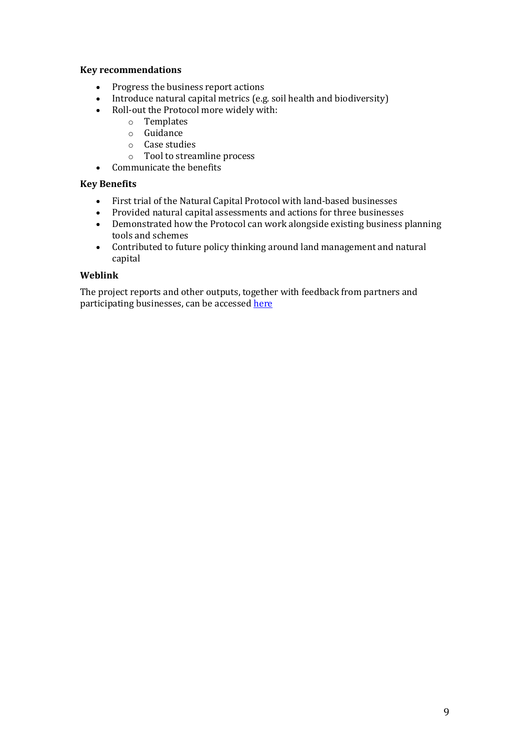#### **Key recommendations**

- Progress the business report actions
- Introduce natural capital metrics (e.g. soil health and biodiversity)<br>• Roll-out the Protocol more widely with:
- Roll-out the Protocol more widely with:
	- o Templates
	- o Guidance
	- o Case studies
	- o Tool to streamline process
- Communicate the benefits

#### **Key Benefits**

- 
- First trial of the Natural Capital Protocol with land-based businesses<br>• Provided natural capital assessments and actions for three businesse • Provided natural capital assessments and actions for three businesses<br>• Demonstrated how the Protocol can work alongside existing business i
- Demonstrated how the Protocol can work alongside existing business planning tools and schemes
- Contributed to future policy thinking around land management and natural capital

#### **Weblink**

The project reports and other outputs, together with feedback from partners and participating businesses, can be accessed here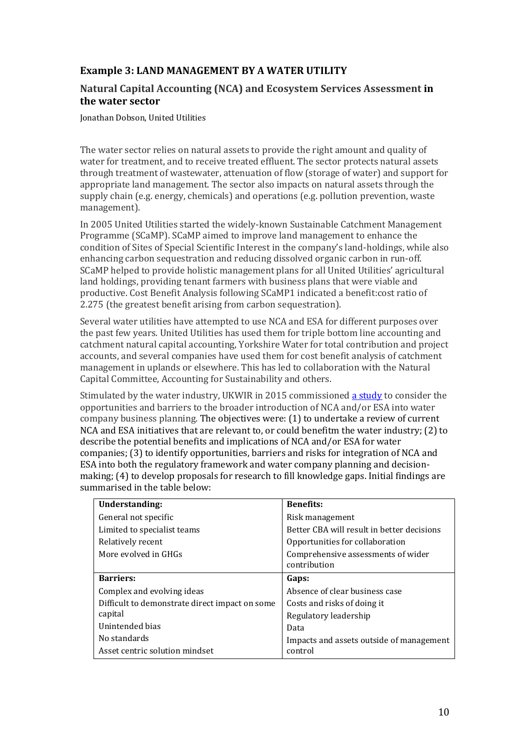# **Example 3: LAND MANAGEMENT BY A WATER UTILITY**

## **Natural Capital Accounting (NCA) and Ecosystem Services Assessment in the water sector**

Jonathan Dobson, United Utilities

The water sector relies on natural assets to provide the right amount and quality of water for treatment, and to receive treated effluent. The sector protects natural assets through treatment of wastewater, attenuation of flow (storage of water) and support for appropriate land management. The sector also impacts on natural assets through the supply chain (e.g. energy, chemicals) and operations (e.g. pollution prevention, waste management).

In 2005 United Utilities started the widely-known Sustainable Catchment Management Programme (SCaMP). SCaMP aimed to improve land management to enhance the condition of Sites of Special Scientific Interest in the company's land-holdings, while also enhancing carbon sequestration and reducing dissolved organic carbon in run-off. SCaMP helped to provide holistic management plans for all United Utilities' agricultural land holdings, providing tenant farmers with business plans that were viable and productive. Cost Benefit Analysis following SCaMP1 indicated a benefit:cost ratio of 2.275 (the greatest benefit arising from carbon sequestration).

Several water utilities have attempted to use NCA and ESA for different purposes over the past few years. United Utilities has used them for triple bottom line accounting and catchment natural capital accounting, Yorkshire Water for total contribution and project accounts, and several companies have used them for cost benefit analysis of catchment management in uplands or elsewhere. This has led to collaboration with the Natural Capital Committee, Accounting for Sustainability and others.

Stimulated by the water industry, UKWIR in 2015 commissioned [a study](https://www.ukwir.org/Benefits-and-limitations-of-integrating-Natural-Capital-Accounting-(NCA)-and-Ecosystem-Services-Assessment-(ESA)-into-water-company-activities) to consider the opportunities and barriers to the broader introduction of NCA and/or ESA into water company business planning. The objectives were: (1) to undertake a review of current NCA and ESA initiatives that are relevant to, or could benefitm the water industry; (2) to describe the potential benefits and implications of NCA and/or ESA for water companies; (3) to identify opportunities, barriers and risks for integration of NCA and ESA into both the regulatory framework and water company planning and decisionmaking; (4) to develop proposals for research to fill knowledge gaps. Initial findings are summarised in the table below:

| Understanding:                                 | <b>Benefits:</b>                                   |
|------------------------------------------------|----------------------------------------------------|
| General not specific                           | Risk management                                    |
| Limited to specialist teams                    | Better CBA will result in better decisions         |
| Relatively recent                              | Opportunities for collaboration                    |
| More evolved in GHGs                           | Comprehensive assessments of wider<br>contribution |
| <b>Barriers:</b>                               | Gaps:                                              |
| Complex and evolving ideas                     | Absence of clear business case                     |
| Difficult to demonstrate direct impact on some | Costs and risks of doing it                        |
| capital                                        | Regulatory leadership                              |
| Unintended bias                                | Data                                               |
| No standards                                   | Impacts and assets outside of management           |
| Asset centric solution mindset                 | control                                            |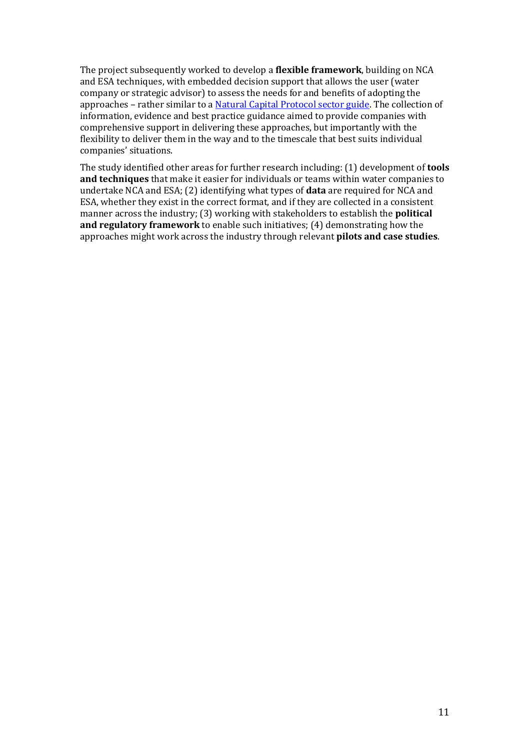The project subsequently worked to develop a **flexible framework**, building on NCA and ESA techniques, with embedded decision support that allows the user (water company or strategic advisor) to assess the needs for and benefits of adopting the approaches – rather similar to [a Natural Capital Protocol sector guide.](https://naturalcapitalcoalition.org/protocol/sector-guides/) The collection of information, evidence and best practice guidance aimed to provide companies with comprehensive support in delivering these approaches, but importantly with the flexibility to deliver them in the way and to the timescale that best suits individual companies' situations.

The study identified other areas for further research including: (1) development of **tools and techniques** that make it easier for individuals or teams within water companies to undertake NCA and ESA; (2) identifying what types of **data** are required for NCA and ESA, whether they exist in the correct format, and if they are collected in a consistent manner across the industry; (3) working with stakeholders to establish the **political and regulatory framework** to enable such initiatives; (4) demonstrating how the approaches might work across the industry through relevant **pilots and case studies**.